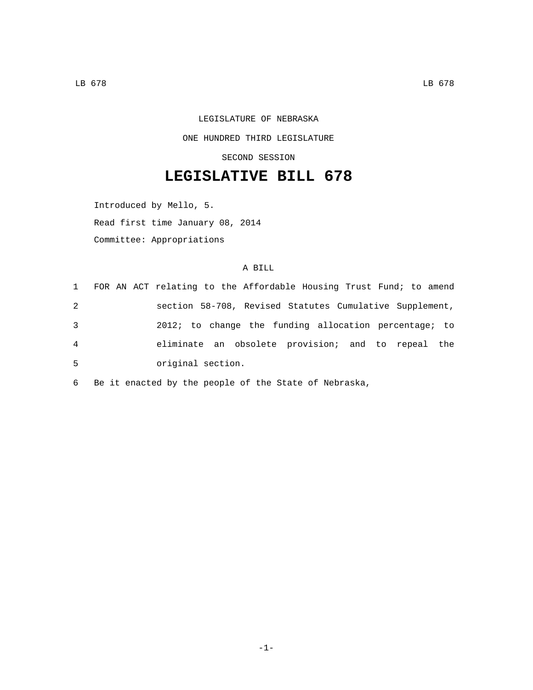LEGISLATURE OF NEBRASKA ONE HUNDRED THIRD LEGISLATURE SECOND SESSION

## **LEGISLATIVE BILL 678**

Introduced by Mello, 5.

Read first time January 08, 2014

Committee: Appropriations

## A BILL

|   | 1 FOR AN ACT relating to the Affordable Housing Trust Fund; to amend |
|---|----------------------------------------------------------------------|
| 2 | section 58-708, Revised Statutes Cumulative Supplement,              |
| 3 | 2012; to change the funding allocation percentage; to                |
| 4 | eliminate an obsolete provision; and to repeal the                   |
| 5 | original section.                                                    |

6 Be it enacted by the people of the State of Nebraska,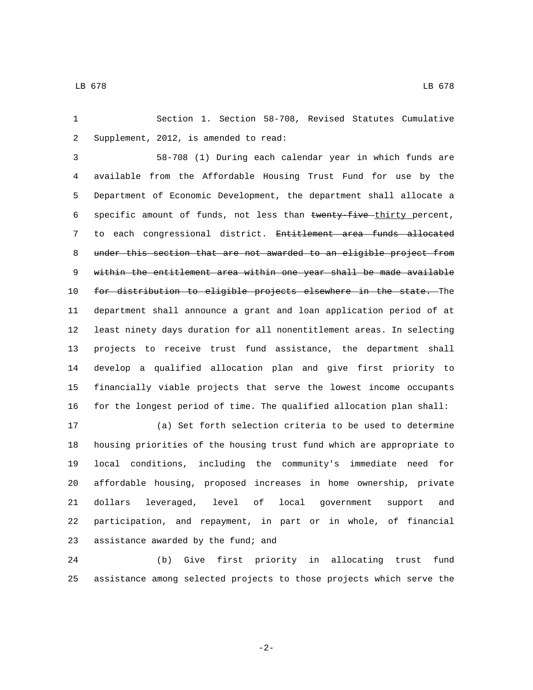Section 1. Section 58-708, Revised Statutes Cumulative 2 Supplement, 2012, is amended to read:

 58-708 (1) During each calendar year in which funds are available from the Affordable Housing Trust Fund for use by the Department of Economic Development, the department shall allocate a 6 specific amount of funds, not less than twenty five thirty percent, 7 to each congressional district. Entitlement area funds allocated under this section that are not awarded to an eligible project from 9 within the entitlement area within one year shall be made available 10 for distribution to eligible projects elsewhere in the state. The department shall announce a grant and loan application period of at least ninety days duration for all nonentitlement areas. In selecting projects to receive trust fund assistance, the department shall develop a qualified allocation plan and give first priority to financially viable projects that serve the lowest income occupants for the longest period of time. The qualified allocation plan shall:

 (a) Set forth selection criteria to be used to determine housing priorities of the housing trust fund which are appropriate to local conditions, including the community's immediate need for affordable housing, proposed increases in home ownership, private dollars leveraged, level of local government support and participation, and repayment, in part or in whole, of financial 23 assistance awarded by the fund; and

 (b) Give first priority in allocating trust fund assistance among selected projects to those projects which serve the

-2-